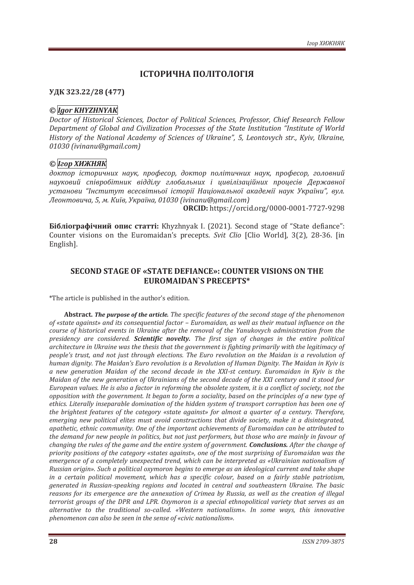# **ІСТОРИЧНА ПОЛІТОЛОГІЯ**

#### **УДК 323.22/28 (477)**

#### *© Igor KHYZHNYAK*

*Doctor of Historical Sciences, Doctor of Political Sciences, Professor, Chief Research Fellow Department of Global and Civilization Processes of the State Institution "Institute of World History of the National Academy of Sciences of Ukraine", 5, Leontovych str., Kyiv, Ukraine, 01030 (ivinanu@gmail.com)* 

## *© Ігор ХИЖНЯК*

*доктор історичних наук, професор, доктор політичних наук, професор, головний науковий співробітник відділу глобальних і цивілізаційних процесів Державної установи "Інститут всесвітньої історії Національної академії наук України", вул. Леонтовича, 5, м. Київ, Україна, 01030 (ivinanu@gmail.com)*

**ORCID:** https://orcid.org/0000-0001-7727-9298

**Бібліографічний опис статті:** Khyzhnyak I. (2021). Second stage of "State defiance": Counter visions on the Euromaidan's precepts. *Svit Clio* [Clio World], 3(2), 28-36. [in English].

### **SECOND STAGE OF «STATE DEFIANCE»: COUNTER VISIONS ON THE EUROMAIDAN`S PRECEPTS\***

\*The article is published in the author's edition.

**Abstract.** *The purpose of the article. The specific features of the second stage of the phenomenon of «state against» and its consequential factor – Euromaidan, as well as their mutual influence on the course of historical events in Ukraine after the removal of the Yanukovych administration from the presidency are considered. Scientific novelty. The first sign of changes in the entire political architecture in Ukraine was the thesis that the government is fighting primarily with the legitimacy of people's trust, and not just through elections. The Euro revolution on the Maidan is a revolution of human dignity. The Maidan's Euro revolution is a Revolution of Human Dignity. The Maidan in Kyiv is a new generation Maidan of the second decade in the XXI-st century. Euromaidan in Kyiv is the Maidan of the new generation of Ukrainians of the second decade of the XXI century and it stood for European values. He is also a factor in reforming the obsolete system, it is a conflict of society, not the opposition with the government. It began to form a sociality, based on the principles of a new type of ethics. Literally inseparable domination of the hidden system of transport corruption has been one of the brightest features of the category «state against» for almost a quarter of a century. Therefore, emerging new political elites must avoid constructions that divide society, make it a disintegrated, apathetic, ethnic community. One of the important achievements of Euromaidan can be attributed to the demand for new people in politics, but not just performers, but those who are mainly in favour of changing the rules of the game and the entire system of government. Conclusions. After the change of priority positions of the category «states against», one of the most surprising of Euromaidan was the emergence of a completely unexpected trend, which can be interpreted as «Ukrainian nationalism of Russian origin». Such a political oxymoron begins to emerge as an ideological current and take shape in a certain political movement, which has a specific colour, based on a fairly stable patriotism, generated in Russian-speaking regions and located in central and southeastern Ukraine. The basic reasons for its emergence are the annexation of Crimea by Russia, as well as the creation of illegal terrorist groups of the DPR and LPR. Oxymoron is a special ethnopolitical variety that serves as an alternative to the traditional so-called. «Western nationalism». In some ways, this innovative phenomenon can also be seen in the sense of «civic nationalism».*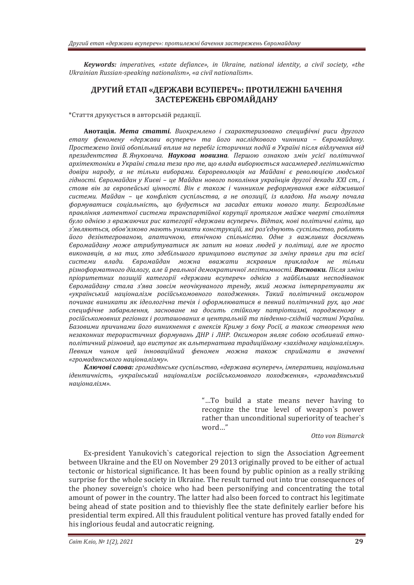*Keywords: imperatives, «state defiance», in Ukraine, national identity, a civil society, «the Ukrainian Russian-speaking nationalism», «a civil nationalism».*

### **ДРУГИЙ ЕТАП «ДЕРЖАВИ ВСУПЕРЕЧ»: ПРОТИЛЕЖНІ БАЧЕННЯ ЗАСТЕРЕЖЕНЬ ЄВРОМАЙДАНУ**

\*Стаття друкується в авторській редакції.

**Анотація.** *Мета статті. Виокремлено і схарактеризовано специфічні риси другого етапу феномену «держави всупереч» та його наслідкового чинника – Євромайдану. Простежено їхній обопільний вплив на перебіг історичних подій в Україні після відлучення від президентства В. Януковича. Наукова новизна. Першою ознакою змін усієї політичної архітектоніки в Україні стала теза про те, що влада виборюється насамперед легітимністю довіри народу, а не тільки виборами. Єврореволюція на Майдані є революцією людської гідності. Євромайдан у Києві – це Майдан нового покоління українців другої декади ХХІ ст., і стояв він за європейські цінності. Він є також і чинником реформування вже віджившої системи. Майдан – це конфлікт суспільства, а не опозиції, із владою. На ньому почала формуватися соціальність, що будується на засадах етики нового типу. Безроздільне правління латентної системи транспартійної корупції протягом майже чверті століття було однією з вражаючих рис категорії «держави всупереч». Відтак, нові політичні еліти, що з'являються, обов'язково мають уникати конструкцій, які роз'єднують суспільство, роблять його дезінтегрованою, апатичною, етнічною спільністю. Одне з важливих досягнень Євромайдану може атрибутуватися як запит на нових людей у політиці, але не просто виконавців, а на тих, хто здебільшого принципово виступає за зміну правил гри та всієї системи влади. Євромайдан можна вважати яскравим прикладом не тільки різноформатного діалогу, але й реальної демократичної легітимності. Висновки. Після зміни пріоритетних позицій категорії «держави всупереч» однією з найбільших несподіванок Євромайдану стала з'ява зовсім неочікуваного тренду, який можна інтерпретувати як «український націоналізм російськомовного походження». Такий політичний оксиморон починає виникати як ідеологічна течія і оформлюватися в певний політичний рух, що має специфічне забарвлення, засноване на досить стійкому патріотизмі, породженому в російськомовних регіонах і розташованих в центральній та південно-східній частині України. Базовими причинами його виникнення є анексія Криму з боку Росії, а також створення нею незаконних терористичних формувань ДНР і ЛНР. Оксиморон являє собою особливий етнополітичний різновид, що виступає як альтернатива традиційному «західному націоналізму». Певним чином цей інноваційний феномен можна також сприймати в значенні «громадянського націоналізму».*

*Ключові слова: громадянське суспільство, «держава всупереч», імперативи, національна ідентичність, «український націоналізм російськомовного походження», «громадянський націоналізм».*

> "…To build a state means never having to recognize the true level of weapon`s power rather than unconditional superiority of teacher`s word…"

> > *Otto von Bismarck*

Ex-president Yanukovich`s categorical rejection to sign the Association Agreement between Ukraine and the EU on November 29 2013 originally proved to be either of actual tectonic or historical significance. It has been found by public opinion as a really striking surprise for the whole society in Ukraine. The result turned out into true consequences of the phoney sovereign's choice who had been personifying and concentrating the total amount of power in the country. The latter had also been forced to contract his legitimate being ahead of state position and to thievishly flee the state definitely earlier before his presidential term expired. All this fraudulent political venture has proved fatally ended for his inglorious feudal and autocratic reigning.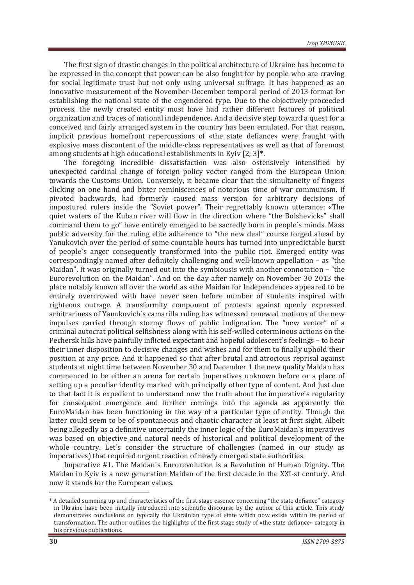The first sign of drastic changes in the political architecture of Ukraine has become to be expressed in the concept that power can be also fought for by people who are craving for social legitimate trust but not only using universal suffrage. It has happened as an innovative measurement of the November-December temporal period of 2013 format for establishing the national state of the engendered type. Due to the objectively proceeded process, the newly created entity must have had rather different features of political organization and traces of national independence. And a decisive step toward a quest for a conceived and fairly arranged system in the country has been emulated. For that reason, implicit previous homefront repercussions of «the state defiance» were fraught with explosive mass discontent of the middle-class representatives as well as that of foremost among students at high educational establishments in Kyiv [2; 3]**\***.

The foregoing incredible dissatisfaction was also ostensively intensified by unexpected cardinal change of foreign policy vector ranged from the European Union towards the Customs Union. Conversely, it became clear that the simultaneity of fingers clicking on one hand and bitter reminiscences of notorious time of war communism, if pivoted backwards, had formerly caused mass version for arbitrary decisions of impostured rulers inside the "Soviet power". Their regrettably known utterance: «The quiet waters of the Kuban river will flow in the direction where "the Bolshevicks" shall command them to go" have entirely emerged to be sacredly born in people`s minds. Mass public adversity for the ruling elite adherence to "the new deal" course forged ahead by Yanukovich over the period of some countable hours has turned into unpredictable burst of people`s anger consequently transformed into the public riot. Emerged entity was correspondingly named after definitely challenging and well-known appellation – as "the Maidan". It was originally turned out into the symbiousis with another connotation – "the Eurorevolution on the Maidan". And on the day after namely on November 30 2013 the place notably known all over the world as «the Maidan for Independence» appeared to be entirely overcrowed with have never seen before number of students inspired with righteous outrage. A transformity component of protests against openly expressed arbitrariness of Yanukovich`s camarilla ruling has witnessed renewed motions of the new impulses carried through stormy flows of public indignation. The "new vector" of a criminal autocrat political selfishness along with his self-willed coterminous actions on the Pechersk hills have painfully inflicted expectant and hopeful adolescent`s feelings – to hear their inner disposition to decisive changes and wishes and for them to finally uphold their position at any price. And it happened so that after brutal and atrocious reprisal against students at night time between November 30 and December 1 the new quality Maidan has commenced to be either an arena for certain imperatives unknown before or a place of setting up a peculiar identity marked with principally other type of content. And just due to that fact it is expedient to understand now the truth about the imperative`s regularity for consequent emergence and further comings into the agenda as apparently the EuroMaidan has been functioning in the way of a particular type of entity. Though the latter could seem to be of spontaneous and chaotic character at least at first sight. Albeit being allegedly as a definitive uncertainly the inner logic of the EuroMaidan`s imperatives was based on objective and natural needs of historical and political development of the whole country. Let`s consider the structure of challengies (named in our study as imperatives) that required urgent reaction of newly emerged state authorities.

Imperative #1. The Maidan`s Eurorevolution is a Revolution of Human Dignity. The Maidan in Kyiv is a new generation Maidan of the first decade in the XXI-st century. And now it stands for the European values.

-

<sup>\*</sup> A detailed summing up and characteristics of the first stage essence concerning "the state defiance" category in Ukraine have been initially introduced into scientific discourse by the author of this article. This study demonstrates conclusions on typically the Ukrainian type of state which now exists within its period of transformation. The author outlines the highlights of the first stage study of «the state defiance» category in his previous publications.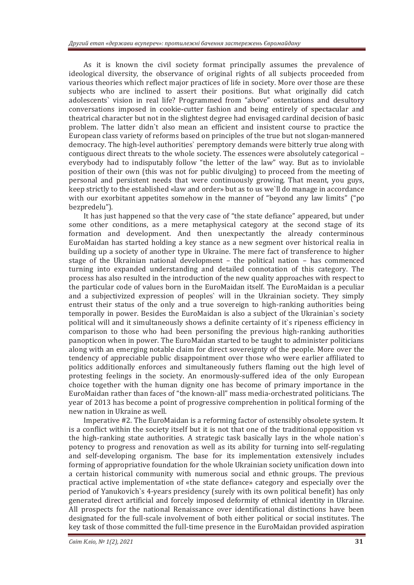As it is known the civil society format principally assumes the prevalence of ideological diversity, the observance of original rights of all subjects proceeded from various theories which reflect major practices of life in society. More over those are these subjects who are inclined to assert their positions. But what originally did catch adolescents` vision in real life? Programmed from "above" ostentations and desultory conversations imposed in cookie-cutter fashion and being entirely of spectacular and theatrical character but not in the slightest degree had envisaged cardinal decision of basic problem. The latter didn`t also mean an efficient and insistent course to practice the European class variety of reforms based on principles of the true but not slogan-mannered democracy. The high-level authorities` peremptory demands were bitterly true along with contiguous direct threats to the whole society. The essences were absolutely categorical – everybody had to indisputably follow "the letter of the law" way. But as to inviolable position of their own (this was not for public divulging) to proceed from the meeting of personal and persistent needs that were continuously growing. That meant, you guys, keep strictly to the established «law and order» but as to us we`ll do manage in accordance with our exorbitant appetites somehow in the manner of "beyond any law limits" ("po bezpredelu").

It has just happened so that the very case of "the state defiance" appeared, but under some other conditions, as a mere metaphysical category at the second stage of its formation and development. And then unexpectantly the already conterminous EuroMaidan has started holding a key stance as a new segment over historical realia in building up a society of another type in Ukraine. The mere fact of transference to higher stage of the Ukrainian national development – the political nation – has commenced turning into expanded understanding and detailed connotation of this category. The process has also resulted in the introduction of the new quality approaches with respect to the particular code of values born in the EuroMaidan itself. The EuroMaidan is a peculiar and a subjectivized expression of peoples` will in the Ukrainian society. They simply entrust their status of the only and a true sovereign to high-ranking authorities being temporally in power. Besides the EuroMaidan is also a subject of the Ukrainian`s society political will and it simultaneously shows a definite certainty of it`s ripeness efficiency in comparison to those who had been personifing the previous high-ranking authorities panopticon when in power. The EuroMaidan started to be taught to administer politicians along with an emerging notable claim for direct sovereignty of the people. More over the tendency of appreciable public disappointment over those who were earlier affiliated to politics additionally enforces and simultaneously futhers flaming out the high level of protesting feelings in the society. An enormously-suffered idea of the only European choice together with the human dignity one has become of primary importance in the EuroMaidan rather than faces of "the known-all" mass media-orchestrated politicians. The year of 2013 has become a point of progressive comprehention in political forming of the new nation in Ukraine as well.

Imperative #2. The EuroMaidan is a reforming factor of ostensibly obsolete system. It is a conflict within the society itself but it is not that one of the traditional opposition vs the high-ranking state authorities. A strategic task basically lays in the whole nation`s potency to progress and renovation as well as its ability for turning into self-regulating and self-developing organism. The base for its implementation extensively includes forming of appropriative foundation for the whole Ukrainian society unification down into a certain historical community with numerous social and ethnic groups. The previous practical active implementation of «the state defiance» category and especially over the period of Yanukovich`s 4-years presidency (surely with its own political benefit) has only generated direct artificial and forcely imposed deformity of ethnical identity in Ukraine. All prospects for the national Renaissance over identificational distinctions have been designated for the full-scale involvement of both either political or social institutes. The key task of those committed the full-time presence in the EuroMaidan provided aspiration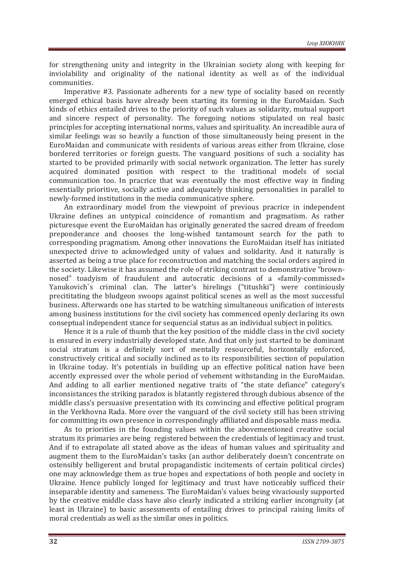for strengthening unity and integrity in the Ukrainian society along with keeping for inviolability and originality of the national identity as well as of the individual communities.

Imperative #3. Passionate adherents for a new type of sociality based on recently emerged ethical basis have already been starting its forming in the EuroMaidan. Such kinds of ethics entailed drives to the priority of such values as solidarity, mutual support and sincere respect of personality. The foregoing notions stipulated on real basic principles for accepting international norms, values and spirituality. An increadible aura of similar feelings was so heavily a function of those simultaneously being present in the EuroMaidan and communicate with residents of various areas either from Ukraine, close bordered territories or foreign guests. The vanguard positions of such a sociality has started to be provided primarily with social network organization. The letter has surely acquired dominated position with respect to the traditional models of social communication too. In pracrice that was eventually the most effective way in finding essentially prioritive, socially active and adequately thinking personalities in parallel to newly-formed institutions in the media communicative sphere.

An extraordinary model from the viewpoint of previous pracrice in independent Ukraine defines an untypical coincidence of romantism and pragmatism. As rather picturesque event the EuroMaidan has originally generated the sacred dream of freedom preponderance and chooses the long-wished tantamount search for the path to corresponding pragmatism. Among other innovations the EuroMaidan itself has initiated unexpected drive to acknowledged unity of values and solidarity. And it naturally is asserted as being a true place for reconstruction and matching the social orders aspired in the society. Likewise it has assumed the role of striking contrast to demonstrative "brownnosed" toadyism of fraudulent and autocratic decisions of a «family-commissed» Yanukovich`s criminal clan. The latter's hirelings ("titushki") were continiously precititating the bludgeon swoops against political scenes as well as the most successful business. Afterwards one has started to be watching simultaneous unification of interests among business institutions for the civil society has commenced openly declaring its own conseptual independent stance for sequencial status аs an individual subject in politics.

Hence it is a rule of thumb that the key position of the middle class in the civil society is ensured in every industrially developed state. And that only just started to be dominant social stratum is a definitely sort of mentally resourceful, horizontally enforced, constructively critical and socially inclined as to its responsibilities section of population in Ukraine today. It's potentials in building up an effective political nation have been accently expressed over the whole period of vehement withstanding in the EuroMaidan. And adding to all earlier mentioned negative traits of "the state defiance" category's inconsistances the striking paradox is blatantly registered through dubious absence of the middle class's persuasive presentation with its convincing and effective political program in the Verkhovna Rada. More over the vanguard of the civil society still has been striving for committing its own presence in correspondingly affiliated and disposable mass media.

As to priorities in the founding values within the abovementioned creative social stratum its primaries are being registered between the credentials of legitimacy and trust. And if to extrapolate all stated above as the ideas of human values and spirituality and augment them to the EuroMaidan's tasks (an author deliberately doesn't concentrate on ostensibly belligerent and brutal propagandistic incitements of certain political circles) one may acknowledge them as true hopes and expectations of both people and society in Ukraine. Hence publicly longed for legitimacy and trust have noticeably sufficed their inseparable identity and sameness. The EuroMaidan's values being vivaciously supported by the creative middle class have also clearly indicated a striking earlier incongruity (at least in Ukraine) to basic assessments of entailing drives to principal raising limits of moral credentials as well as the similar ones in politics.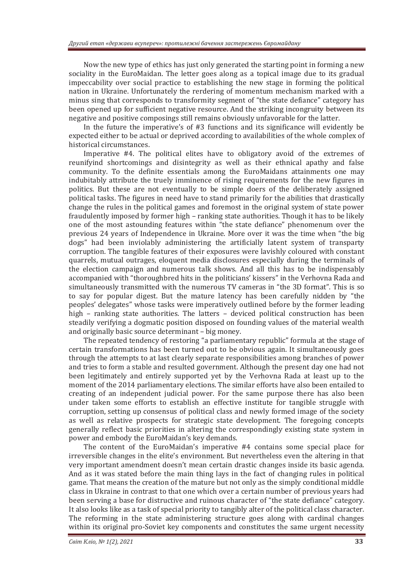Now the new type of ethics has just only generated the starting point in forming a new sociality in the EuroMaidan. The letter goes along as a topical image due to its gradual impeccability over social practice to establishing the new stage in forming the political nation in Ukraine. Unfortunately the rerdering of momentum mechanism marked with a minus sing that corresponds to transformity segment of "the state defiance" category has been opened up for sufficient negative resource. And the striking incongruity between its negative and positive composings still remains obviously unfavorable for the latter.

In the future the imperative's of #3 functions and its significance will evidently be expected either to be actual or deprived according to availabilities of the whole complex of historical circumstances.

Imperative #4. The political elites have to obligatory avoid of the extremes of reunifyind shortcomings and disintegrity as well as their ethnical apathy and false community. To the definite essentials among the EuroMaidans attainments one may indubitably attribute the truely imminence of rising requirements for the new figures in politics. But these are not eventually to be simple doers of the deliberately assigned political tasks. The figures in need have to stand primarily for the abilities that drastically change the rules in the political games and foremost in the original system of state power fraudulently imposed by former high – ranking state authorities. Though it has to be likely one of the most astounding features within "the state defiance" phenomenum over the previous 24 years of Independence in Ukraine. More over it was the time when "the big dogs" had been inviolably administering the artificially latent system of transparty corruption. The tangible features of their exposures were lavishly coloured with constant quarrels, mutual outrages, eloquent media disclosures especially during the terminals of the election campaign and numerous talk shows. And all this has to be indispensably accompanied with "thoroughbred hits in the politicians' kissers" in the Verhovna Rada and simultaneously transmitted with the numerous TV cameras in "the 3D format". This is so to say for popular digest. But the mature latency has been carefully nidden by "the peoples' delegates" whose tasks were imperatively outlined before by the former leading high – ranking state authorities. The latters – deviced political construction has been steadily verifying a dogmatic position disposed on founding values of the material wealth and originally basic source determinant – big money.

The repeated tendency of restoring "a parliamentary republic" formula at the stage of certain transformations has been turned out to be obvious again. It simultaneously goes through the attempts to at last clearly separate responsibilities among branches of power and tries to form a stable and resulted government. Although the present day one had not been legitimately and entirely supported yet by the Verhovna Rada at least up to the moment of the 2014 parliamentary elections. The similar efforts have also been entailed to creating of an independent judicial power. For the same purpose there has also been under taken some efforts to establish an effective institute for tangible struggle with corruption, setting up consensus of political class and newly formed image of the society as well as relative prospects for strategic state development. The foregoing concepts generally reflect basic priorities in altering the correspondingly existing state system in power and embody the EuroMaidan's key demands.

The content of the EuroMaidan's imperative #4 contains some special place for irreversible changes in the elite's environment. But nevertheless even the altering in that very important amendment doesn't mean certain drastic changes inside its basic agenda. And as it was stated before the main thing lays in the fact of changing rules in political game. That means the creation of the mature but not only as the simply conditional middle class in Ukraine in contrast to that one which over a certain number of previous years had been serving a base for distructive and ruinous character of "the state defiance" category. It also looks like as a task of special priority to tangibly alter of the political class character. The reforming in the state administering structure goes along with cardinal changes within its original pro-Soviet key components and constitutes the same urgent necessity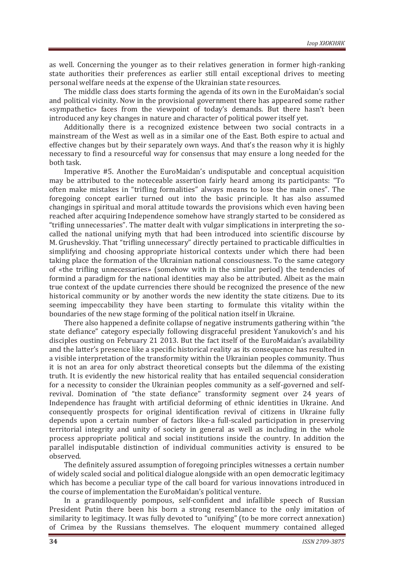as well. Concerning the younger as to their relatives generation in former high-ranking state authorities their preferences as earlier still entail exceptional drives to meeting personal welfare needs at the expense of the Ukrainian state resources.

The middle class does starts forming the agenda of its own in the EuroMaidan's social and political vicinity. Now in the provisional government there has appeared some rather «sympathetic» faces from the viewpoint of today's demands. But there hasn't been introduced any key changes in nature and character of political power itself yet.

Additionally there is a recognized existence between two social contracts in a mainstream of the West as well as in a similar one of the East. Both espire to actual and effective changes but by their separately own ways. And that's the reason why it is highly necessary to find a resourceful way for consensus that may ensure a long needed for the both task.

Imperative #5. Another the EuroMaidan's undisputable and conceptual acquisition may be attributed to the noteceable assertion fairly heard among its participants: "To often make mistakes in "trifling formalities" always means to lose the main ones". The foregoing concept earlier turned out into the basic principle. It has also assumed changings in spiritual and moral attitude towards the provisions which even having been reached after acquiring Independence somehow have strangly started to be considered as "trifling unnecessaries". The matter dealt with vulgar simplications in interpreting the socalled the national unifying myth that had been introduced into scientific discourse by M. Grushevskiy. That "trifling unnecessary" directly pertained to practicable difficulties in simplifying and choosing appropriate historical contexts under which there had been taking place the formation of the Ukrainian national consciousness. To the same category of «the trifling unnecessaries» (somehow with in the similar period) the tendencies of formind a paradigm for the national identities may also be attributed. Albeit as the main true context of the update currencies there should be recognized the presence of the new historical community or by another words the new identity the state citizens. Due to its seeming impeccability they have been starting to formulate this vitality within the boundaries of the new stage forming of the political nation itself in Ukraine.

There also happened a definite collapse of negative instruments gathering within "the state defiance" category especially following disgraceful president Yanukovich's and his disciples ousting on February 21 2013. But the fact itself of the EuroMaidan's availability and the latter's presence like a specific historical reality as its consequence has resulted in a visible interpretation of the transformity within the Ukrainian peoples community. Thus it is not an area for only abstract theoretical consepts but the dilemma of the existing truth. It is evidently the new historical reality that has entailed sequencial consideration for a necessity to consider the Ukrainian peoples community as a self-governed and selfrevival. Domination of "the state defiance" transformity segment over 24 years of Independence has fraught with artificial deforming of ethnic identities in Ukraine. And consequently prospects for original identification revival of citizens in Ukraine fully depends upon a certain number of factors like-a full-scaled participation in preserving territorial integrity and unity of society in general as well as including in the whole process appropriate political and social institutions inside the country. In addition the parallel indisputable distinction of individual communities activity is ensured to be observed.

The definitely assured assumption of foregoing principles witnesses a certain number of widely scaled social and political dialogue alongside with an open democratic legitimacy which has become a peculiar type of the call board for various innovations introduced in the course of implementation the EuroMaidan's political venture.

In a grandiloquently pompous, self-confident and infallible speech of Russian President Putin there been his born a strong resemblance to the only imitation of similarity to legitimacy. It was fully devoted to "unifying" (to be more correct annexation) of Crimea by the Russians themselves. The eloquent mummery contained alleged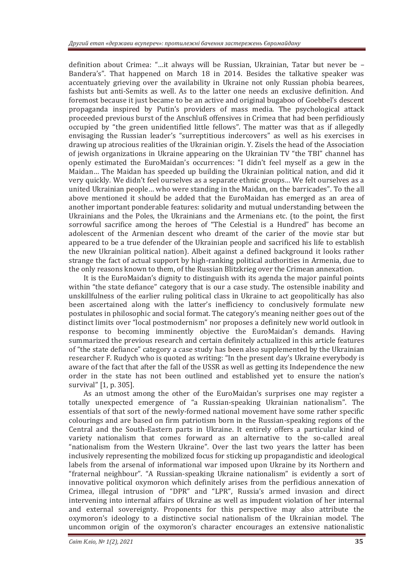definition about Crimea: "…it always will be Russian, Ukrainian, Tatar but never be – Bandera's". That happened on March 18 in 2014. Besides the talkative speaker was accentuately grieving over the availability in Ukraine not only Russian phobia bearees, fashists but anti-Semits as well. As to the latter one needs an exclusive definition. And foremost because it just became to be an active and original bugaboo of Goebbel's descent propaganda inspired by Putin's providers of mass media. The psychological attack proceeded previous burst of the Anschluß offensives in Crimea that had been perfidiously occupied by "the green unidentified little fellows". The matter was that as if allegedly envisaging the Russian leader's "surreptitious indercovers" as well as his exercises in drawing up atrocious realities of the Ukrainian origin. Y. Zisels the head of the Association of jewish organizations in Ukraine appearing on the Ukrainian TV "the TBI" channel has openly estimated the EuroMaidan's occurrences: "I didn't feel myself as a gew in the Maidan… The Maidan has speeded up building the Ukrainian political nation, and did it very quickly. We didn't feel ourselves as a separate ethnic groups… We felt ourselves as a united Ukrainian people… who were standing in the Maidan, on the barricades". To the all above mentioned it should be added that the EuroMaidan has emerged as an area of another important ponderable features: solidarity and mutual understanding between the Ukrainians and the Poles, the Ukrainians and the Armenians etc. (to the point, the first sorrowful sacrifice among the heroes of "The Celestial is a Hundred" has become an adolescent of the Armenian descent who dreamt of the carier of the movie star but appeared to be a true defender of the Ukrainian people and sacrificed his life to establish the new Ukrainian political nation). Albeit against a defined background it looks rather strange the fact of actual support by high-ranking political authorities in Armenia, due to the only reasons known to them, of the Russian Blitzkrieg over the Crimean annexation.

It is the EuroMaidan's dignity to distinguish with its agenda the major painful points within "the state defiance" category that is our a case study. The ostensible inability and unskillfulness of the earlier ruling political class in Ukraine to act geopolitically has also been ascertained along with the latter's inefficiency to conclusively formulate new postulates in philosophic and social format. The category's meaning neither goes out of the distinct limits over "local postmodernism" nor proposes a definitely new world outlook in response to becoming imminently objective the EuroMaidan's demands. Having summarized the previous research and certain definitely actualized in this article features of "the state defiance" category a case study has been also supplemented by the Ukrainian researcher F. Rudych who is quoted as writing: "In the present day's Ukraine everybody is aware of the fact that after the fall of the USSR as well as getting its Independence the new order in the state has not been outlined and established yet to ensure the nation's survival" [1, p. 305].

As an utmost among the other of the EuroMaidan's surprises one may register a totally unexpected emergence of "a Russian-speaking Ukrainian nationalism". The essentials of that sort of the newly-formed national movement have some rather specific colourings and are based on firm patriotism born in the Russian-speaking regions of the Central and the South-Eastern parts in Ukraine. It entirely offers a particular kind of variety nationalism that comes forward as an alternative to the so-called areal "nationalism from the Western Ukraine". Over the last two years the latter has been inclusively representing the mobilized focus for sticking up propagandistic and ideological labels from the arsenal of informational war imposed upon Ukraine by its Northern and "fraternal neighbour". "A Russian-speaking Ukraine nationalism" is evidently a sort of innovative political oxymoron which definitely arises from the perfidious annexation of Crimea, illegal intrusion of "DPR" and "LPR", Russia's armed invasion and direct intervening into internal affairs of Ukraine as well as impudent violation of her internal and external sovereignty. Proponents for this perspective may also attribute the oxymoron's ideology to a distinctive social nationalism of the Ukrainian model. The uncommon origin of the oxymoron's character encourages an extensive nationalistic